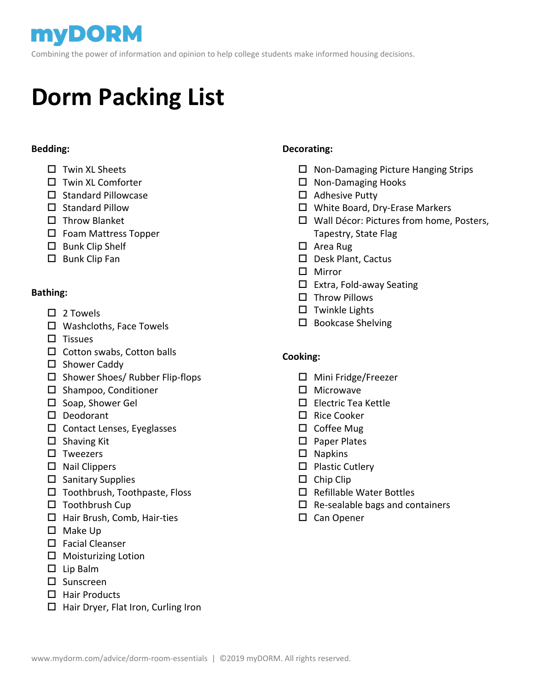Combining the power of information and opinion to help college students make informed housing decisions.

# **Dorm Packing List**

 $\overline{a}$ 

#### **Bedding:**

- $\Box$  Twin XL Sheets
- $\Box$  Twin XL Comforter
- $\square$  Standard Pillowcase
- $\square$  Standard Pillow
- $\square$  Throw Blanket
- □ Foam Mattress Topper
- $\square$  Bunk Clip Shelf
- $\square$  Bunk Clip Fan

#### **Bathing:**

- $\Box$  2 Towels
- □ Washcloths, Face Towels
- $\Pi$  Tissues
- $\square$  Cotton swabs, Cotton balls
- $\square$  Shower Caddy
- $\square$  Shower Shoes/ Rubber Flip-flops
- $\square$  Shampoo, Conditioner
- $\square$  Soap, Shower Gel
- D Deodorant
- $\square$  Contact Lenses, Eyeglasses
- $\square$  Shaving Kit
- $\square$  Tweezers
- $\square$  Nail Clippers
- $\square$  Sanitary Supplies
- $\square$  Toothbrush, Toothpaste, Floss
- $\square$  Toothbrush Cup
- □ Hair Brush, Comb, Hair-ties
- $\square$  Make Up
- $\square$  Facial Cleanser
- $\square$  Moisturizing Lotion
- $\square$  Lip Balm
- $\square$  Sunscreen
- $\Box$  Hair Products
- $\Box$  Hair Dryer, Flat Iron, Curling Iron

#### **Decorating:**

- $\Box$  Non-Damaging Picture Hanging Strips
- $\Box$  Non-Damaging Hooks
- $\Box$  Adhesive Putty
- White Board, Dry-Erase Markers
- Wall Décor: Pictures from home, Posters, Tapestry, State Flag
- □ Area Rug
- D Desk Plant, Cactus
- Mirror
- $\square$  Extra, Fold-away Seating
- $\square$  Throw Pillows
- $\square$  Twinkle Lights
- $\square$  Bookcase Shelving

#### **Cooking:**

- $\Box$  Mini Fridge/Freezer
- $\Pi$  Microwave
- □ Electric Tea Kettle
- $\square$  Rice Cooker
- $\square$  Coffee Mug
- □ Paper Plates
- $\square$  Napkins
- $\square$  Plastic Cutlery
- $\square$  Chip Clip
- $\square$  Refillable Water Bottles
- $\Box$  Re-sealable bags and containers
- □ Can Opener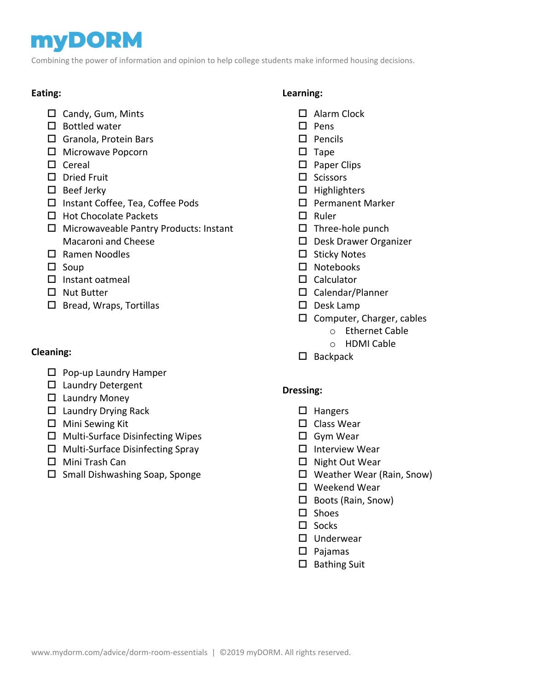## **myDORM**

Combining the power of information and opinion to help college students make informed housing decisions.

### **Eating:**

- $\square$  Candy, Gum, Mints
- $\square$  Bottled water
- □ Granola, Protein Bars
- □ Microwave Popcorn
- $\square$  Cereal
- D Dried Fruit
- $\square$  Beef Jerky
- □ Instant Coffee, Tea, Coffee Pods
- $\Box$  Hot Chocolate Packets
- $\Box$  Microwaveable Pantry Products: Instant Macaroni and Cheese
- □ Ramen Noodles
- $\square$  Soup
- $\Box$  Instant oatmeal
- □ Nut Butter
- $\square$  Bread, Wraps, Tortillas

#### **Cleaning:**

- $\square$  Pop-up Laundry Hamper
- $\square$  Laundry Detergent
- $\Box$  Laundry Money
- $\Box$  Laundry Drying Rack
- $\Box$  Mini Sewing Kit
- $\square$  Multi-Surface Disinfecting Wipes
- $\Box$  Multi-Surface Disinfecting Spray
- □ Mini Trash Can
- $\square$  Small Dishwashing Soap, Sponge

#### **Learning:**

- □ Alarm Clock
- $\square$  Pens
- $\square$  Pencils
- $\square$  Tape
- $\square$  Paper Clips
- $\square$  Scissors
- $\Box$  Highlighters
- □ Permanent Marker
- $\Box$  Ruler
- $\square$  Three-hole punch
- D Desk Drawer Organizer
- $\square$  Sticky Notes
- □ Notebooks
- $\square$  Calculator
- Calendar/Planner
- $\square$  Desk Lamp
- $\square$  Computer, Charger, cables
	- o Ethernet Cable
	- o HDMI Cable
- $\square$  Backpack

#### **Dressing:**

- $\Box$  Hangers
- $\square$  Class Wear
- Gym Wear
- $\Box$  Interview Wear
- $\Box$  Night Out Wear
- Weather Wear (Rain, Snow)
- □ Weekend Wear
- □ Boots (Rain, Snow)
- $\square$  Shoes
- $\square$  Socks
- □ Underwear
- $\square$  Pajamas
- $\square$  Bathing Suit